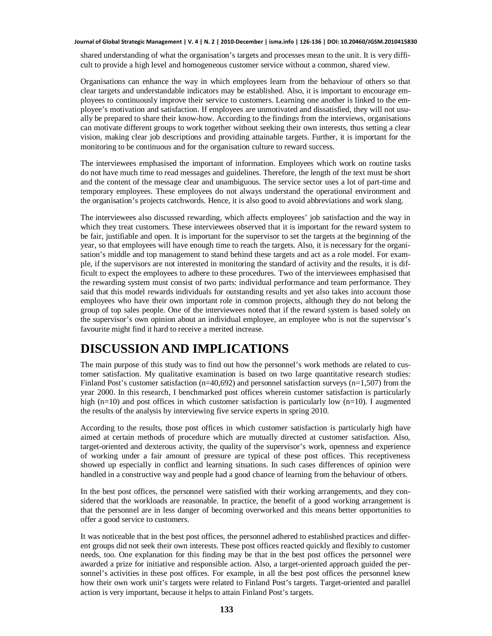#### **Journal of Global Strategic Management | V. 4 | N. 2 | 2010-December | isma.info | 126-136 | DOI: 10.20460/JGSM.2010415830**

shared understanding of what the organisation's targets and processes mean to the unit. It is very difficult to provide a high level and homogeneous customer service without a common, shared view.

Organisations can enhance the way in which employees learn from the behaviour of others so that clear targets and understandable indicators may be established. Also, it is important to encourage employees to continuously improve their service to customers. Learning one another is linked to the employee's motivation and satisfaction. If employees are unmotivated and dissatisfied, they will not usually be prepared to share their know-how. According to the findings from the interviews, organisations can motivate different groups to work together without seeking their own interests, thus setting a clear vision, making clear job descriptions and providing attainable targets. Further, it is important for the monitoring to be continuous and for the organisation culture to reward success.

The interviewees emphasised the important of information. Employees which work on routine tasks do not have much time to read messages and guidelines. Therefore, the length of the text must be short and the content of the message clear and unambiguous. The service sector uses a lot of part-time and temporary employees. These employees do not always understand the operational environment and the organisation's projects catchwords. Hence, it is also good to avoid abbreviations and work slang.

The interviewees also discussed rewarding, which affects employees' job satisfaction and the way in which they treat customers. These interviewees observed that it is important for the reward system to be fair, justifiable and open. It is important for the supervisor to set the targets at the beginning of the year, so that employees will have enough time to reach the targets. Also, it is necessary for the organisation's middle and top management to stand behind these targets and act as a role model. For example, if the supervisors are not interested in monitoring the standard of activity and the results, it is difficult to expect the employees to adhere to these procedures. Two of the interviewees emphasised that the rewarding system must consist of two parts: individual performance and team performance. They said that this model rewards individuals for outstanding results and yet also takes into account those employees who have their own important role in common projects, although they do not belong the group of top sales people. One of the interviewees noted that if the reward system is based solely on the supervisor's own opinion about an individual employee, an employee who is not the supervisor's favourite might find it hard to receive a merited increase.

# **DISCUSSION AND IMPLICATIONS**

The main purpose of this study was to find out how the personnel's work methods are related to customer satisfaction. My qualitative examination is based on two large quantitative research studies: Finland Post's customer satisfaction  $(n=40,692)$  and personnel satisfaction surveys  $(n=1,507)$  from the year 2000. In this research, I benchmarked post offices wherein customer satisfaction is particularly high (n=10) and post offices in which customer satisfaction is particularly low (n=10). I augmented the results of the analysis by interviewing five service experts in spring 2010.

According to the results, those post offices in which customer satisfaction is particularly high have aimed at certain methods of procedure which are mutually directed at customer satisfaction. Also, target-oriented and dexterous activity, the quality of the supervisor's work, openness and experience of working under a fair amount of pressure are typical of these post offices. This receptiveness showed up especially in conflict and learning situations. In such cases differences of opinion were handled in a constructive way and people had a good chance of learning from the behaviour of others.

In the best post offices, the personnel were satisfied with their working arrangements, and they considered that the workloads are reasonable. In practice, the benefit of a good working arrangement is that the personnel are in less danger of becoming overworked and this means better opportunities to offer a good service to customers.

It was noticeable that in the best post offices, the personnel adhered to established practices and different groups did not seek their own interests. These post offices reacted quickly and flexibly to customer needs, too. One explanation for this finding may be that in the best post offices the personnel were awarded a prize for initiative and responsible action. Also, a target-oriented approach guided the personnel's activities in these post offices. For example, in all the best post offices the personnel knew how their own work unit's targets were related to Finland Post's targets. Target-oriented and parallel action is very important, because it helps to attain Finland Post's targets.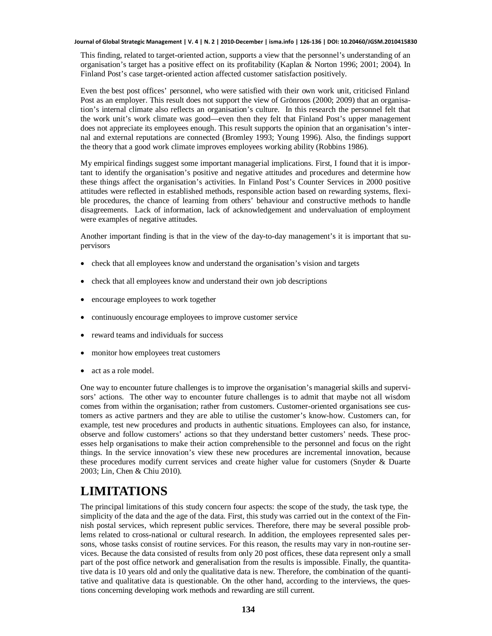#### **Journal of Global Strategic Management | V. 4 | N. 2 | 2010-December | isma.info | 126-136 | DOI: 10.20460/JGSM.2010415830**

This finding, related to target-oriented action, supports a view that the personnel's understanding of an organisation's target has a positive effect on its profitability (Kaplan & Norton 1996; 2001; 2004). In Finland Post's case target-oriented action affected customer satisfaction positively.

Even the best post offices' personnel, who were satisfied with their own work unit, criticised Finland Post as an employer. This result does not support the view of Grönroos (2000; 2009) that an organisation's internal climate also reflects an organisation's culture. In this research the personnel felt that the work unit's work climate was good—even then they felt that Finland Post's upper management does not appreciate its employees enough. This result supports the opinion that an organisation's internal and external reputations are connected (Bromley 1993; Young 1996). Also, the findings support the theory that a good work climate improves employees working ability (Robbins 1986).

My empirical findings suggest some important managerial implications. First, I found that it is important to identify the organisation's positive and negative attitudes and procedures and determine how these things affect the organisation's activities. In Finland Post's Counter Services in 2000 positive attitudes were reflected in established methods, responsible action based on rewarding systems, flexible procedures, the chance of learning from others' behaviour and constructive methods to handle disagreements. Lack of information, lack of acknowledgement and undervaluation of employment were examples of negative attitudes.

Another important finding is that in the view of the day-to-day management's it is important that supervisors

- check that all employees know and understand the organisation's vision and targets
- x check that all employees know and understand their own job descriptions
- encourage employees to work together
- continuously encourage employees to improve customer service
- reward teams and individuals for success
- monitor how employees treat customers
- act as a role model.

One way to encounter future challenges is to improve the organisation's managerial skills and supervisors' actions. The other way to encounter future challenges is to admit that maybe not all wisdom comes from within the organisation; rather from customers. Customer-oriented organisations see customers as active partners and they are able to utilise the customer's know-how. Customers can, for example, test new procedures and products in authentic situations. Employees can also, for instance, observe and follow customers' actions so that they understand better customers' needs. These processes help organisations to make their action comprehensible to the personnel and focus on the right things. In the service innovation's view these new procedures are incremental innovation, because these procedures modify current services and create higher value for customers (Snyder & Duarte 2003; Lin, Chen & Chiu 2010).

# **LIMITATIONS**

The principal limitations of this study concern four aspects: the scope of the study, the task type, the simplicity of the data and the age of the data. First, this study was carried out in the context of the Finnish postal services, which represent public services. Therefore, there may be several possible problems related to cross-national or cultural research. In addition, the employees represented sales persons, whose tasks consist of routine services. For this reason, the results may vary in non-routine services. Because the data consisted of results from only 20 post offices, these data represent only a small part of the post office network and generalisation from the results is impossible. Finally, the quantitative data is 10 years old and only the qualitative data is new. Therefore, the combination of the quantitative and qualitative data is questionable. On the other hand, according to the interviews, the questions concerning developing work methods and rewarding are still current.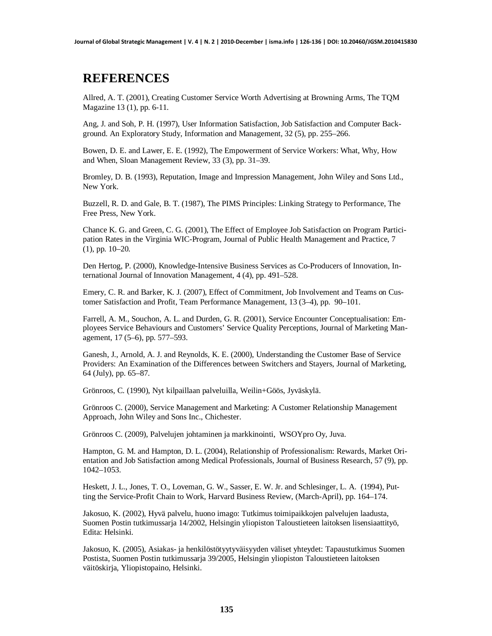### **REFERENCES**

Allred, A. T. (2001), Creating Customer Service Worth Advertising at Browning Arms, The TQM Magazine 13 (1), pp. 6-11.

Ang, J. and Soh, P. H. (1997), User Information Satisfaction, Job Satisfaction and Computer Background. An Exploratory Study, Information and Management, 32 (5), pp. 255–266.

Bowen, D. E. and Lawer, E. E. (1992), The Empowerment of Service Workers: What, Why, How and When, Sloan Management Review, 33 (3), pp. 31–39.

Bromley, D. B. (1993), Reputation, Image and Impression Management, John Wiley and Sons Ltd., New York.

Buzzell, R. D. and Gale, B. T. (1987), The PIMS Principles: Linking Strategy to Performance, The Free Press, New York.

Chance K. G. and Green, C. G. (2001), The Effect of Employee Job Satisfaction on Program Participation Rates in the Virginia WIC-Program, Journal of Public Health Management and Practice, 7 (1), pp. 10–20.

Den Hertog, P. (2000), Knowledge-Intensive Business Services as Co-Producers of Innovation, International Journal of Innovation Management, 4 (4), pp. 491–528.

Emery, C. R. and Barker, K. J. (2007), Effect of Commitment, Job Involvement and Teams on Customer Satisfaction and Profit, Team Performance Management, 13 (3–4), pp. 90–101.

Farrell, A. M., Souchon, A. L. and Durden, G. R. (2001), Service Encounter Conceptualisation: Employees Service Behaviours and Customers' Service Quality Perceptions, Journal of Marketing Management, 17 (5–6), pp. 577–593.

Ganesh, J., Arnold, A. J. and Reynolds, K. E. (2000), Understanding the Customer Base of Service Providers: An Examination of the Differences between Switchers and Stayers, Journal of Marketing, 64 (July), pp. 65–87.

Grönroos, C. (1990), Nyt kilpaillaan palveluilla, Weilin+Göös, Jyväskylä.

Grönroos C. (2000), Service Management and Marketing: A Customer Relationship Management Approach, John Wiley and Sons Inc., Chichester.

Grönroos C. (2009), Palvelujen johtaminen ja markkinointi, WSOYpro Oy, Juva.

Hampton, G. M. and Hampton, D. L. (2004), Relationship of Professionalism: Rewards, Market Orientation and Job Satisfaction among Medical Professionals, Journal of Business Research, 57 (9), pp. 1042–1053.

Heskett, J. L., Jones, T. O., Loveman, G. W., Sasser, E. W. Jr. and Schlesinger, L. A. (1994), Putting the Service-Profit Chain to Work, Harvard Business Review, (March-April), pp. 164–174.

Jakosuo, K. (2002), Hyvä palvelu, huono imago: Tutkimus toimipaikkojen palvelujen laadusta, Suomen Postin tutkimussarja 14/2002, Helsingin yliopiston Taloustieteen laitoksen lisensiaattityö, Edita: Helsinki.

Jakosuo, K. (2005), Asiakas- ja henkilöstötyytyväisyyden väliset yhteydet: Tapaustutkimus Suomen Postista, Suomen Postin tutkimussarja 39/2005, Helsingin yliopiston Taloustieteen laitoksen väitöskirja, Yliopistopaino, Helsinki.